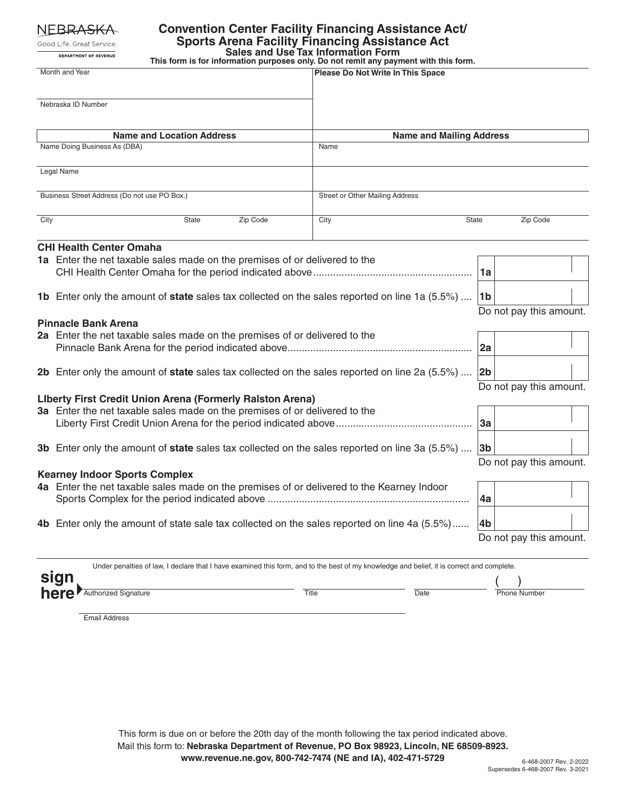NEBRA<del>SKA</del>

Good Life. Great Service. DEPARTMENT OF REVENUE

## **Convention Center Facility Financing Assistance Act/ Sports Arena Facility Financing Assistance Act**

**Sales and Use Tax Information Form This form is for information purposes only. Do not remit any payment with this form.**

| Month and Year                                                             |                                                                                                                                           | Please Do Not Write In This Space |                                           |
|----------------------------------------------------------------------------|-------------------------------------------------------------------------------------------------------------------------------------------|-----------------------------------|-------------------------------------------|
|                                                                            | Nebraska ID Number                                                                                                                        |                                   |                                           |
|                                                                            | <b>Name and Location Address</b>                                                                                                          | <b>Name and Mailing Address</b>   |                                           |
|                                                                            | Name Doing Business As (DBA)                                                                                                              | Name                              |                                           |
|                                                                            | Legal Name                                                                                                                                |                                   |                                           |
| Business Street Address (Do not use PO Box.)                               |                                                                                                                                           | Street or Other Mailing Address   |                                           |
| City                                                                       | Zip Code<br>State                                                                                                                         | City                              | Zip Code<br>State                         |
|                                                                            | <b>CHI Health Center Omaha</b>                                                                                                            |                                   |                                           |
|                                                                            | 1a Enter the net taxable sales made on the premises of or delivered to the                                                                |                                   | 1a                                        |
|                                                                            | 1b Enter only the amount of state sales tax collected on the sales reported on line 1a (5.5%)                                             |                                   | 1 <sub>b</sub><br>Do not pay this amount. |
| <b>Pinnacle Bank Arena</b>                                                 |                                                                                                                                           |                                   |                                           |
|                                                                            | 2a Enter the net taxable sales made on the premises of or delivered to the                                                                |                                   | 2a                                        |
|                                                                            | 2b Enter only the amount of state sales tax collected on the sales reported on line 2a (5.5%)                                             |                                   | 2b                                        |
| Liberty First Credit Union Arena (Formerly Ralston Arena)                  |                                                                                                                                           |                                   | Do not pay this amount.                   |
| 3a Enter the net taxable sales made on the premises of or delivered to the |                                                                                                                                           |                                   |                                           |
|                                                                            |                                                                                                                                           |                                   | 3a                                        |
|                                                                            | 3b Enter only the amount of state sales tax collected on the sales reported on line 3a (5.5%)                                             |                                   | 3 <sub>b</sub>                            |
| <b>Kearney Indoor Sports Complex</b>                                       |                                                                                                                                           |                                   | Do not pay this amount.                   |
|                                                                            | 4a Enter the net taxable sales made on the premises of or delivered to the Kearney Indoor                                                 |                                   |                                           |
|                                                                            |                                                                                                                                           |                                   | 4a                                        |
|                                                                            | 4b Enter only the amount of state sale tax collected on the sales reported on line 4a (5.5%)                                              |                                   | 4b                                        |
|                                                                            |                                                                                                                                           |                                   | Do not pay this amount.                   |
|                                                                            | Under penalties of law, I declare that I have examined this form, and to the best of my knowledge and belief, it is correct and complete. |                                   |                                           |
|                                                                            | sign                                                                                                                                      |                                   |                                           |

Email Address

**here** Authorized Signature **here here**  $\frac{1}{\sqrt{1}}$  **Date here**  $\frac{1}{\sqrt{1}}$  Phone Number